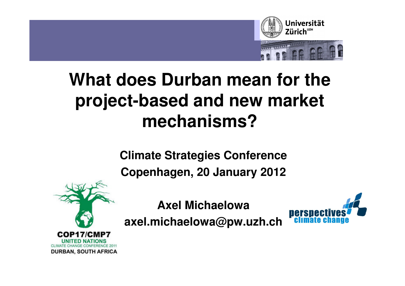

# **What does Durban mean for the project-based and new market mechanisms?**

**Climate Strategies Conference**

**Copenhagen, 20 January 2012**



**Axel Michaelowa**

**axel.michaelowa@pw.uzh.ch**

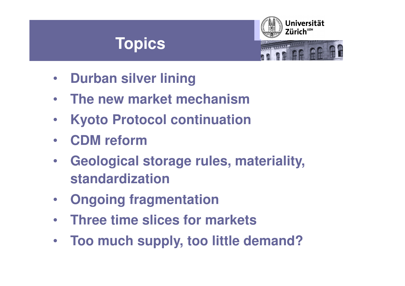#### **Topics**



- $\bullet$ **Durban silver lining**
- $\bullet$ **The new market mechanism**
- **Kyoto Protocol continuation** $\bullet$
- $\bullet$ **CDM reform**
- **Geological storage rules, materiality,**   $\bullet$ **standardization**
- $\bullet$ **Ongoing fragmentation**
- •**Three time slices for markets**
- $\bullet$ **Too much supply, too little demand?**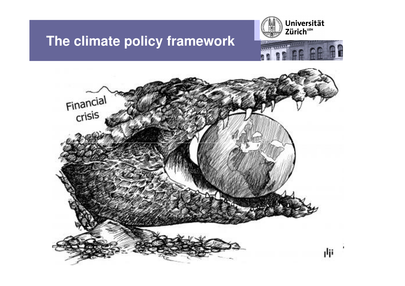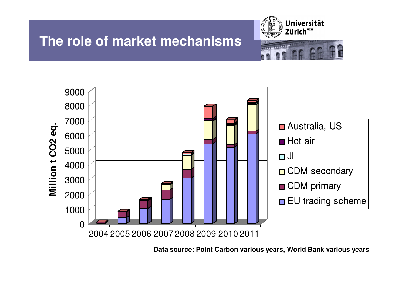





**Data source: Point Carbon various years, World Bank various years**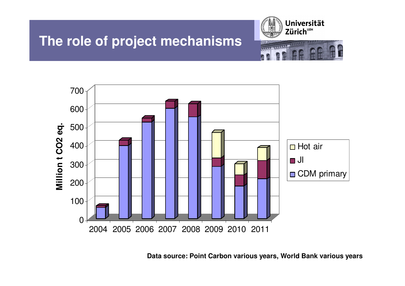#### **The role of project mechanisms**





**Data source: Point Carbon various years, World Bank various years**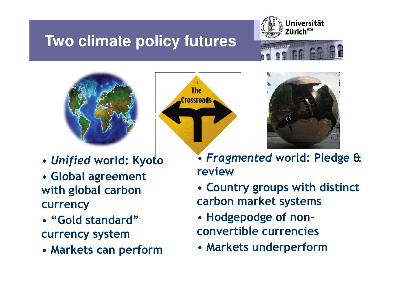## **Two climate policy futures**







- •Unified world: Kyoto
- Global agreement with global carbon currency
- "Gold standard" currency system
- Markets can perform





- Fragmented world: Pledge & review
- Country groups with distinct carbon market systems
- Hodgepodge of nonconvertible currencies
- Markets underperform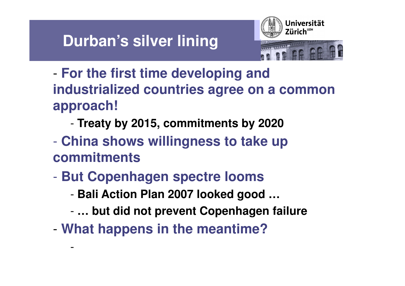#### **Durban's silver lining**



- - **For the first time developing and industrialized countries agree on a common approach!**
	- -**Treaty by 2015, commitments by 2020**
- $\mathcal{L}^{\text{max}}_{\text{max}}$  **China shows willingness to take up commitments**
- $\mathcal{L}^{\text{max}}_{\text{max}}$  **But Copenhagen spectre looms**
	- -**Bali Action Plan 2007 looked good …**
	- -**… but did not prevent Copenhagen failure**
- -**What happens in the meantime?**

-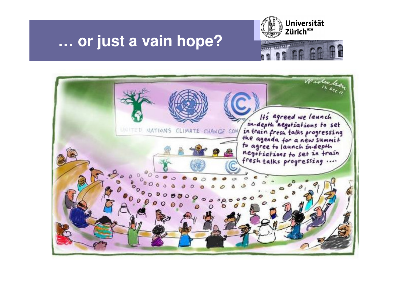

#### **… or just a vain hope?**

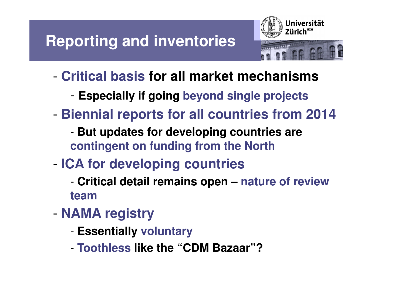

- - **Critical basis for all market mechanisms**
	- -**Especially if going beyond single projects**
- - **Biennial reports for all countries from 2014**
	- - **But updates for developing countries are contingent on funding from the North**
- - **ICA for developing countries**
	- - **Critical detail remains open – nature of review team**
- - **NAMA registry**
	- -**Essentially voluntary**
	- -**Toothless like the "CDM Bazaar"?**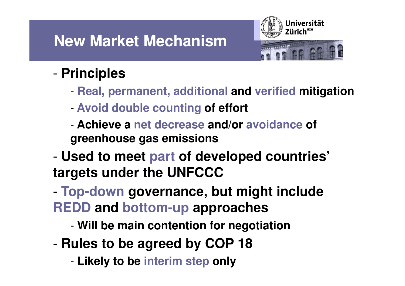### **New Market Mechanism**



#### -**Principles**

- -**Real, permanent, additional and verified mitigation**
- -**Avoid double counting of effort**
- - **Achieve a net decrease and/or avoidance of greenhouse gas emissions**
- - **Used to meet part of developed countries' targets under the UNFCCC**
- - **Top-down governance, but might include REDD and bottom-up approaches**
	- -**Will be main contention for negotiation**
- - **Rules to be agreed by COP 18**
	- -**Likely to be interim step only**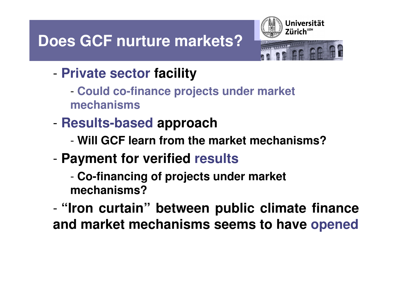## **Does GCF nurture markets?**



- - **Private sector facility**
	- - **Could co-finance projects under market mechanisms**
- - **Results-based approach**
	- -**Will GCF learn from the market mechanisms?**
- - **Payment for verified results**
	- - **Co-financing of projects under market mechanisms?**
- - **"Iron curtain" between public climate financeand market mechanisms seems to have opened**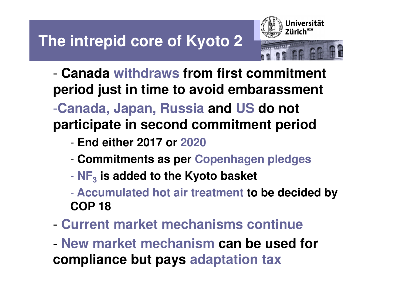

- - **Canada withdraws from first commitment period just in time to avoid embarassment**-**Canada, Japan, Russia and US do not participate in second commitment period**
	- -**End either 2017 or 2020**
	- -**Commitments as per Copenhagen pledges**
	- **NF3is added to the Kyoto basket**
	- **Accumulated hot air treatment to be decided by COP 18**
- -**Current market mechanisms continue**
- - **New market mechanism can be used for compliance but pays adaptation tax**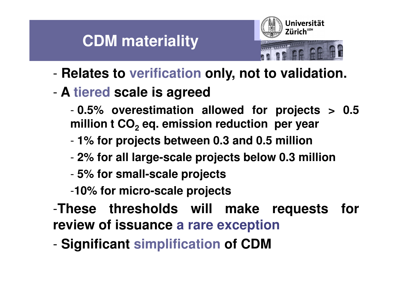#### **CDM materiality**



- -**Relates to verification only, not to validation.**
- - **<sup>A</sup> tiered scale is agreed**
	- - **0.5% overestimation allowed for projects <sup>&</sup>gt; 0.5million <sup>t</sup> CO<sup>2</sup> eq. emission reduction per year**
	- -**1% for projects between 0.3 and 0.5 million**
	- -**2% for all large-scale projects below 0.3 million**
	- -**5% for small-scale projects**
	- -**10% for micro-scale projects**
- -**These thresholds will make requests forreview of issuance <sup>a</sup> rare exception**
- -**Significant simplification of CDM**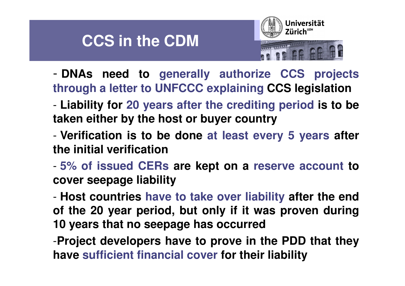#### **CCS in the CDM**



- - **DNAs need to generally authorize CCS projects through <sup>a</sup> letter to UNFCCC explaining CCS legislation**
- - **Liability for <sup>20</sup> years after the crediting period is to be taken either by the host or buyer country**
- - **Verification is to be done at least every <sup>5</sup> years after the initial verification**
- - **5% of issued CERs are kept on <sup>a</sup> reserve account tocover seepage liability**

- **Host countries have to take over liability after the end of the 20 year period, but only if it was proven during10 years that no seepage has occurred**

-**Project developers have to prove in the PDD that theyhave sufficient financial cover for their liability**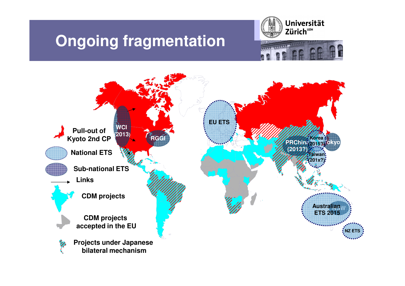#### **Ongoing fragmentation**





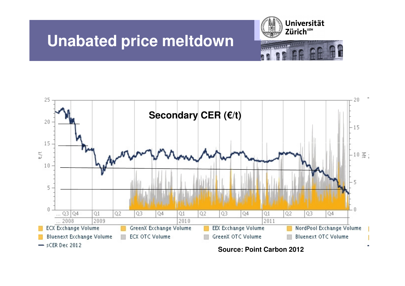





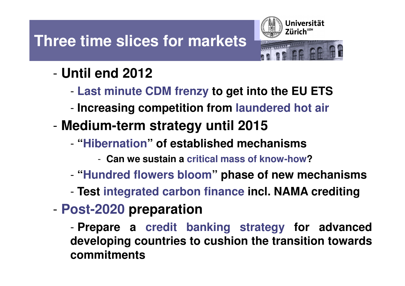## **Three time slices for markets**



#### -**Until end 2012**

- -**Last minute CDM frenzy to get into the EU ETS**
- -**Increasing competition from laundered hot air**
- - **Medium-term strategy until 2015**
	- -**"Hibernation Hibernation " of established mechanisms**
		- -**Can we sustain <sup>a</sup> critical mass of know-how?**
	- -**"Hundred flowers bloom" phase of new mechanisms**
	- -**Test integrated carbon finance incl. NAMA crediting**
- -**Post-2020 preparation**

- **Prepare <sup>a</sup> credit banking strategy for advanced developing countries to cushion the transition towardscommitments**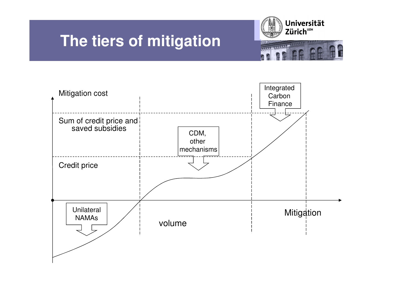### **The tiers of mitigation**



amanan

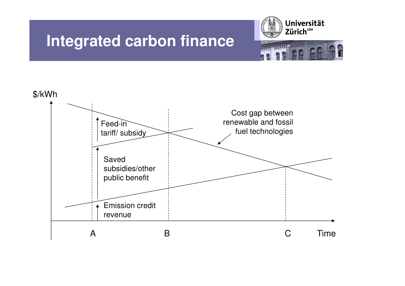#### **Integrated carbon finance**



**Hanno** 

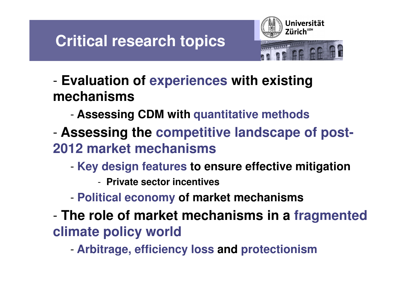### **Critical research topics**



- - **Evaluation of experiences with existing mechanisms**
	- -**Assessing CDM with quantitative methods**
- - **Assessing the competitive landscape of post-2012 market mechanisms**
	- - **Key design features to ensure effective mitigation**
		- **Private sector incentives**

-

- -**Political economy of market mechanisms**
- - **The role of market mechanisms in a fragmented climate policy world**
	- -**Arbitrage, efficiency loss and protectionism**